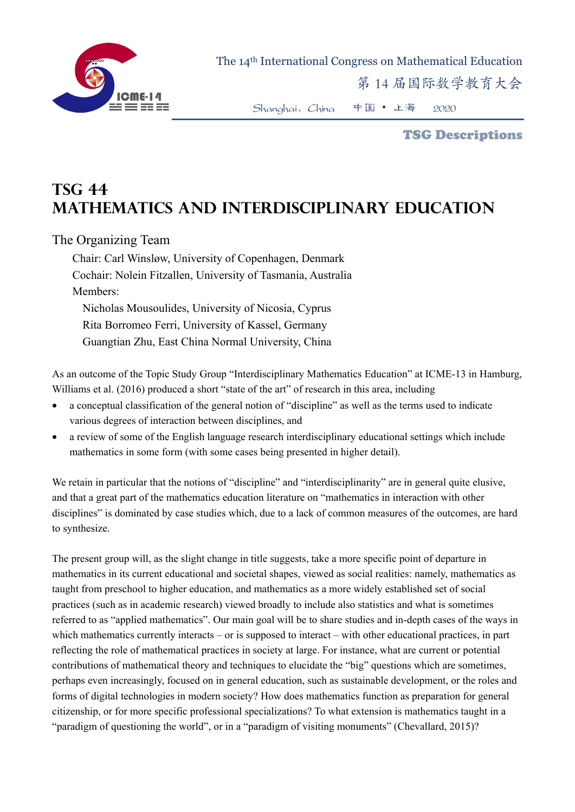

 The 14th International Congress on Mathematical Education 第 14 届国际数学教育大会

Shanghai,China 中国 • 上海 2020

TSG Descriptions

## **TSG 44 Mathematics and interdisciplinary education**

## The Organizing Team

Chair: Carl Winsløw, University of Copenhagen, Denmark Cochair: Nolein Fitzallen, University of Tasmania, Australia Members: Nicholas Mousoulides, University of Nicosia, Cyprus Rita Borromeo Ferri, University of Kassel, Germany Guangtian Zhu, East China Normal University, China

As an outcome of the Topic Study Group "Interdisciplinary Mathematics Education" at ICME-13 in Hamburg, Williams et al. (2016) produced a short "state of the art" of research in this area, including

- a conceptual classification of the general notion of "discipline" as well as the terms used to indicate various degrees of interaction between disciplines, and
- a review of some of the English language research interdisciplinary educational settings which include mathematics in some form (with some cases being presented in higher detail).

We retain in particular that the notions of "discipline" and "interdisciplinarity" are in general quite elusive, and that a great part of the mathematics education literature on "mathematics in interaction with other disciplines" is dominated by case studies which, due to a lack of common measures of the outcomes, are hard to synthesize.

The present group will, as the slight change in title suggests, take a more specific point of departure in mathematics in its current educational and societal shapes, viewed as social realities: namely, mathematics as taught from preschool to higher education, and mathematics as a more widely established set of social practices (such as in academic research) viewed broadly to include also statistics and what is sometimes referred to as "applied mathematics". Our main goal will be to share studies and in-depth cases of the ways in which mathematics currently interacts – or is supposed to interact – with other educational practices, in part reflecting the role of mathematical practices in society at large. For instance, what are current or potential contributions of mathematical theory and techniques to elucidate the "big" questions which are sometimes, perhaps even increasingly, focused on in general education, such as sustainable development, or the roles and forms of digital technologies in modern society? How does mathematics function as preparation for general citizenship, or for more specific professional specializations? To what extension is mathematics taught in a "paradigm of questioning the world", or in a "paradigm of visiting monuments" (Chevallard, 2015)?